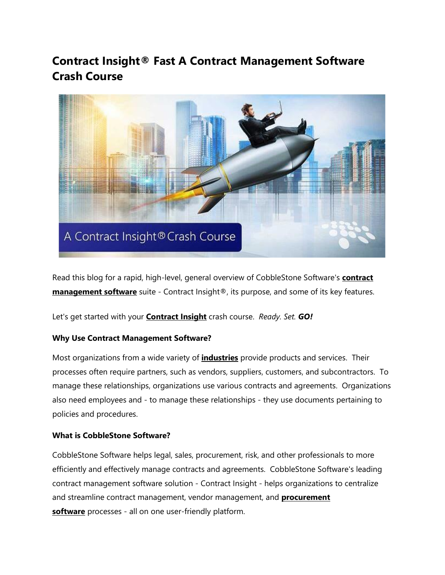# **Contract Insight® Fast A Contract Management Software Crash Course**



Read this blog for a rapid, high-level, general overview of CobbleStone Software's **[contract](https://www.cobblestonesoftware.com/)  [management software](https://www.cobblestonesoftware.com/)** suite - Contract Insight®, its purpose, and some of its key features.

Let's get started with your **[Contract Insight](https://www.cobblestonesoftware.com/products/enterprise-contract-management-software)** crash course. *Ready. Set. GO!*

## **Why Use Contract Management Software?**

Most organizations from a wide variety of **[industries](https://www.cobblestonesoftware.com/industries)** provide products and services. Their processes often require partners, such as vendors, suppliers, customers, and subcontractors. To manage these relationships, organizations use various contracts and agreements. Organizations also need employees and - to manage these relationships - they use documents pertaining to policies and procedures.

### **What is CobbleStone Software?**

CobbleStone Software helps legal, sales, procurement, risk, and other professionals to more efficiently and effectively manage contracts and agreements. CobbleStone Software's leading contract management software solution - Contract Insight - helps organizations to centralize and streamline contract management, vendor management, and **[procurement](https://www.cobblestonesoftware.com/products/e-procurement-software)  [software](https://www.cobblestonesoftware.com/products/e-procurement-software)** processes - all on one user-friendly platform.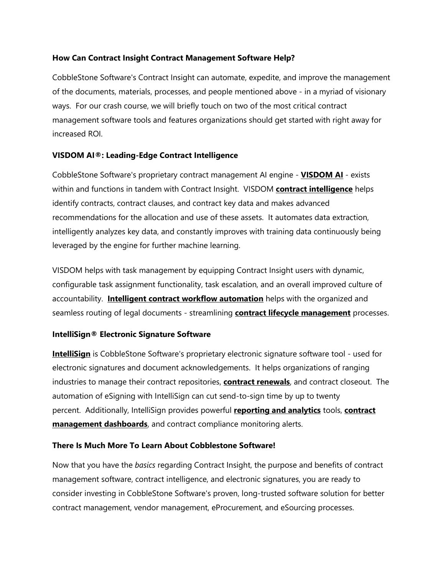## **How Can Contract Insight Contract Management Software Help?**

CobbleStone Software's Contract Insight can automate, expedite, and improve the management of the documents, materials, processes, and people mentioned above - in a myriad of visionary ways. For our crash course, we will briefly touch on two of the most critical contract management software tools and features organizations should get started with right away for increased ROI.

## **VISDOM AI®: Leading-Edge Contract Intelligence**

CobbleStone Software's proprietary contract management AI engine - **[VISDOM AI](https://www.cobblestonesoftware.com/solutions/contract-management-ai)** - exists within and functions in tandem with Contract Insight. VISDOM **[contract intelligence](https://www.cobblestonesoftware.com/blog/contract-intelligence-smarter-contract-management)** helps identify contracts, contract clauses, and contract key data and makes advanced recommendations for the allocation and use of these assets. It automates data extraction, intelligently analyzes key data, and constantly improves with training data continuously being leveraged by the engine for further machine learning.

VISDOM helps with task management by equipping Contract Insight users with dynamic, configurable task assignment functionality, task escalation, and an overall improved culture of accountability. **[Intelligent contract workflow automation](https://www.cobblestonesoftware.com/blog/a-winning-contract-strategy-with-contract-automation)** helps with the organized and seamless routing of legal documents - streamlining **[contract lifecycle management](https://www.cobblestonesoftware.com/blog/what-is-contract-lifecycle-management)** processes.

### **IntelliSign® Electronic Signature Software**

**[IntelliSign](https://www.cobblestonesoftware.com/blog/cobblestone-intellisign-e-signatures)** is CobbleStone Software's proprietary electronic signature software tool - used for electronic signatures and document acknowledgements. It helps organizations of ranging industries to manage their contract repositories, **[contract renewals](https://www.cobblestonesoftware.com/blog/contract-renewals-mastering-contract-management-series)**, and contract closeout. The automation of eSigning with IntelliSign can cut send-to-sign time by up to twenty percent. Additionally, IntelliSign provides powerful **[reporting and analytics](https://www.cobblestonesoftware.com/contract-management-software/contract-analytics)** tools, **[contract](https://www.cobblestonesoftware.com/blog/contract-insight-executive-graphical-dashboards)  [management dashboards](https://www.cobblestonesoftware.com/blog/contract-insight-executive-graphical-dashboards)**, and contract compliance monitoring alerts.

### **There Is Much More To Learn About Cobblestone Software!**

Now that you have the *basics* regarding Contract Insight, the purpose and benefits of contract management software, contract intelligence, and electronic signatures, you are ready to consider investing in CobbleStone Software's proven, long-trusted software solution for better contract management, vendor management, eProcurement, and eSourcing processes.